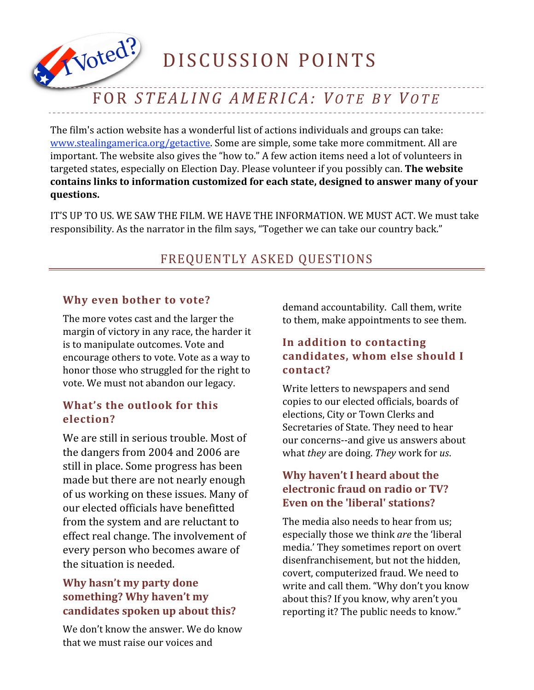DISCUSSION POINTS

# FOR *STEAL ING AMERICA: V O T E B Y V O T E*

The film's action website has a wonderful list of actions individuals and groups can take: www.stealingamerica.org/getactive</u>. Some are simple, some take more commitment. All are important. The website also gives the "how to." A few action items need a lot of volunteers in targeted
states,
especially
on
Election
Day.
Please
volunteer
if
you
possibly
can. **The
website contains
links
to
information
customized
for
each
state,
designed
to
answer
many
of
your questions.**

IT'S UP TO US. WE SAW THE FILM. WE HAVE THE INFORMATION. WE MUST ACT. We must take responsibility. As the narrator in the film says, "Together we can take our country back."

# FREQUENTLY ASKED QUESTIONS

### **Why even bother to vote?**

Voted?

The
more
votes
cast
and
the
larger
the margin
of
victory
in
any
race,
the
harder
it is
to
manipulate
outcomes.
Vote
and encourage
others
to
vote.
Vote
as
a
way
to honor
those
who
struggled
for
the
right
to vote.
We
must
not
abandon
our
legacy.

### **What's the outlook for this election?**

We are still in serious trouble. Most of the dangers from 2004 and 2006 are still in place. Some progress has been made but there are not nearly enough of us working on these issues. Many of our elected officials have benefitted from the system and are reluctant to effect real change. The involvement of every person who becomes aware of the situation is needed.

# **Why hasn't my party done something? Why haven't my candidates spoken up about this?**

We don't know the answer. We do know that
we
must
raise
our
voices
and

demand
accountability.

Call
them,
write to
them,
make
appointments
to
see
them.

## **In addition to contacting candidates, whom else should I contact?**

Write
letters
to
newspapers
and
send copies
to
our
elected
officials,
boards
of elections,
City
or
Town
Clerks
and Secretaries of State. They need to hear our
concerns‐‐and
give
us
answers
about what *they*are
doing. *They*work
for *us*.

# **Why haven't I heard about the electronic fraud on radio or TV? Even on the 'liberal' stations?**

The media also needs to hear from us: especially
those
we
think *are*the
'liberal media.'
They
sometimes
report
on
overt disenfranchisement,
but
not
the
hidden, covert,
computerized
fraud.
We
need
to write
and
call
them.
"Why
don't
you
know about
this?
If
you
know,
why
aren't
you reporting it? The public needs to know."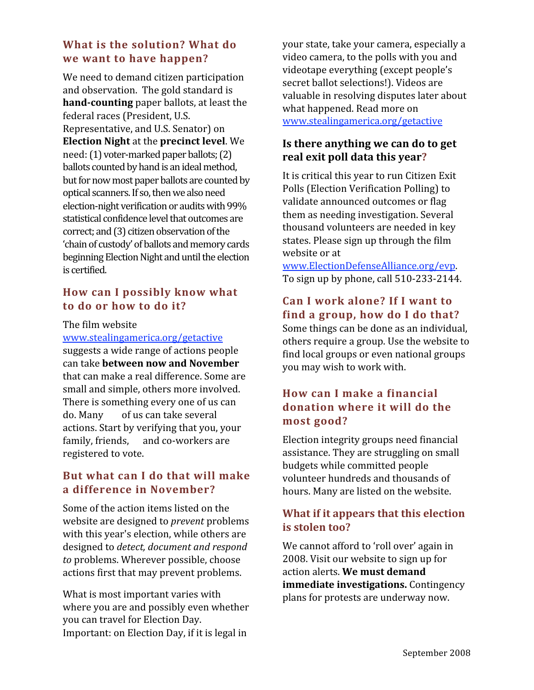## **What is the solution? What do we want to have happen?**

We
need
to
demand
citizen
participation and
observation.

The
gold
standard
is hand-counting paper ballots, at least the federal
races
(President,
U.S. Representative,
and
U.S.
Senator)
on **Election
Night**at
the **precinct
level**.
We need: (1) voter-marked paper ballots; (2) ballots counted by hand is an ideal method, but for now most paper ballots are counted by optical scanners. If so, then we also need election-night verification or audits with 99% statistical confidence level that outcomes are correct; and (3) citizen observation of the 'chain of custody' of ballots and memory cards beginning Election Night and until the election is certified.

## **How can I possibly know what to do or how to do it?**

#### The
film
website

www.stealingamerica.org/getactive suggests
a
wide
range
of
actions
people can
take **between
now
and
November** that
can
make
a
real
difference.
Some
are small
and
simple,
others
more
involved. There
is
something
every
one
of
us
can do.
Many

of
us
can
take
several actions.
Start
by
verifying
that
you,
your family, friends, and co-workers are registered
to
vote.

### **But what can I do that will make a difference in November?**

Some
of
the
action
items
listed
on
the website
are
designed
to *prevent*problems with this year's election, while others are designed
to *detect,
document
and
respond*  to problems. Wherever possible, choose actions
first
that
may
prevent
problems.

What is most important varies with where
you
are
and
possibly
even
whether you
can
travel
for
Election
Day. Important:
on
Election
Day,
if
it
is
legal
in

your
state,
take
your
camera,
especially
a video camera, to the polls with you and videotape
everything
(except
people's secret ballot selections!). Videos are valuable
in
resolving
disputes
later
about what
happened.
Read
more
on www.stealingamerica.org/getactive

# **Is there anything we can do to get real exit poll data this year?**

It
is
critical
this
year
to
run
Citizen
Exit Polls
(Election
Verification
Polling)
to validate
announced
outcomes
or
flag them
as
needing
investigation.
Several thousand
volunteers
are
needed
in
key states.
Please
sign
up
through
the
film website
or
at

www.ElectionDefenseAlliance.org/evp. To
sign
up
by
phone,
call
510‐233‐2144.

# **Can I work alone? If I want to find a group, how do I do that?**

Some
things
can
be
done
as
an
individual, others
require
a
group. Use
the
website
to find
local
groups
or
even
national
groups you
may
wish
to work
with.

# **How can I make a financial donation where it will do the most good?**

Election
integrity
groups
need
financial assistance.
They
are
struggling
on
small budgets
while
committed
people volunteer
hundreds
and
thousands
of hours.
Many
are
listed
on
the
website.

# **What if it appears that this election is stolen too?**

We cannot afford to 'roll over' again in 2008.
Visit
our
website
to
sign
up
for action
alerts. **We
must
demand immediate
investigations.**Contingency plans
for
protests
are
underway
now.